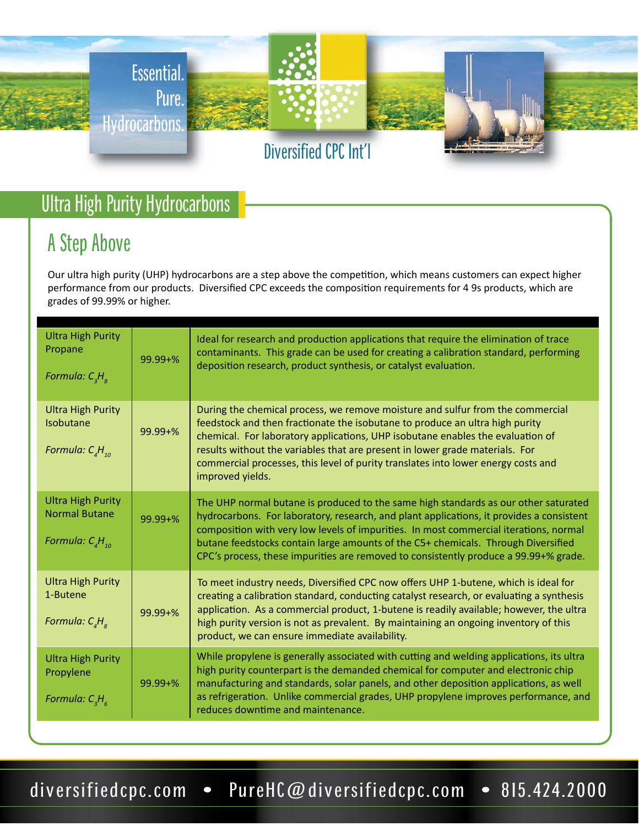

# Ultra High Purity Hydrocarbons

# A Step Above

Our ultra high purity (UHP) hydrocarbons are a step above the competition, which means customers can expect higher performance from our products. Diversified CPC exceeds the composition requirements for 4 9s products, which are grades of 99.99% or higher.

| <b>Ultra High Purity</b><br>Propane<br>Formula: $C_{3}H_{8}$                   | $99.99 + \%$ | Ideal for research and production applications that require the elimination of trace<br>contaminants. This grade can be used for creating a calibration standard, performing<br>deposition research, product synthesis, or catalyst evaluation.                                                                                                                                                                                                       |
|--------------------------------------------------------------------------------|--------------|-------------------------------------------------------------------------------------------------------------------------------------------------------------------------------------------------------------------------------------------------------------------------------------------------------------------------------------------------------------------------------------------------------------------------------------------------------|
| <b>Ultra High Purity</b><br><b>Isobutane</b><br>Formula: $C_{A}H_{10}$         | $99.99 + \%$ | During the chemical process, we remove moisture and sulfur from the commercial<br>feedstock and then fractionate the isobutane to produce an ultra high purity<br>chemical. For laboratory applications, UHP isobutane enables the evaluation of<br>results without the variables that are present in lower grade materials. For<br>commercial processes, this level of purity translates into lower energy costs and<br>improved yields.             |
| <b>Ultra High Purity</b><br><b>Normal Butane</b><br>Formula: $C_{_A}H_{_{10}}$ | $99.99 + \%$ | The UHP normal butane is produced to the same high standards as our other saturated<br>hydrocarbons. For laboratory, research, and plant applications, it provides a consistent<br>composition with very low levels of impurities. In most commercial iterations, normal<br>butane feedstocks contain large amounts of the C5+ chemicals. Through Diversified<br>CPC's process, these impurities are removed to consistently produce a 99.99+% grade. |
| <b>Ultra High Purity</b><br>1-Butene<br>Formula: $C_{A}H_{R}$                  | $99.99 + \%$ | To meet industry needs, Diversified CPC now offers UHP 1-butene, which is ideal for<br>creating a calibration standard, conducting catalyst research, or evaluating a synthesis<br>application. As a commercial product, 1-butene is readily available; however, the ultra<br>high purity version is not as prevalent. By maintaining an ongoing inventory of this<br>product, we can ensure immediate availability.                                  |
| <b>Ultra High Purity</b><br>Propylene<br>Formula: $C_3H_6$                     | $99.99 + \%$ | While propylene is generally associated with cutting and welding applications, its ultra<br>high purity counterpart is the demanded chemical for computer and electronic chip<br>manufacturing and standards, solar panels, and other deposition applications, as well<br>as refrigeration. Unlike commercial grades, UHP propylene improves performance, and<br>reduces downtime and maintenance.                                                    |